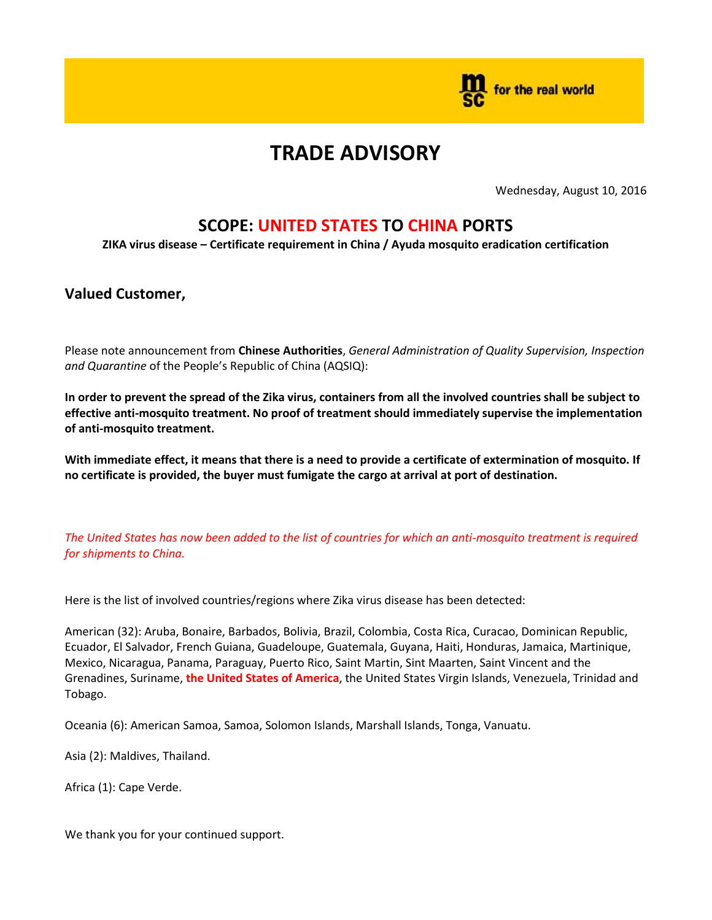

## **TRADE ADVISORY**

Wednesday, August 10, 2016

## **SCOPE: UNITED STATES TO CHINA PORTS**

**ZIKA virus disease – Certificate requirement in China / Ayuda mosquito eradication certification**

## **Valued Customer,**

Please note announcement from **Chinese Authorities**, *General Administration of Quality Supervision, Inspection and Quarantine* of the People's Republic of China (AQSIQ):

**In order to prevent the spread of the Zika virus, containers from all the involved countries shall be subject to effective anti-mosquito treatment. No proof of treatment should immediately supervise the implementation of anti-mosquito treatment.**

**With immediate effect, it means that there is a need to provide a certificate of extermination of mosquito. If no certificate is provided, the buyer must fumigate the cargo at arrival at port of destination.**

*The United States has now been added to the list of countries for which an anti-mosquito treatment is required for shipments to China.*

Here is the list of involved countries/regions where Zika virus disease has been detected:

American (32): Aruba, Bonaire, Barbados, Bolivia, Brazil, Colombia, Costa Rica, Curacao, Dominican Republic, Ecuador, El Salvador, French Guiana, Guadeloupe, Guatemala, Guyana, Haiti, Honduras, Jamaica, Martinique, Mexico, Nicaragua, Panama, Paraguay, Puerto Rico, Saint Martin, Sint Maarten, Saint Vincent and the Grenadines, Suriname, **the United States of America**, the United States Virgin Islands, Venezuela, Trinidad and Tobago.

Oceania (6): American Samoa, Samoa, Solomon Islands, Marshall Islands, Tonga, Vanuatu.

Asia (2): Maldives, Thailand.

Africa (1): Cape Verde.

We thank you for your continued support.